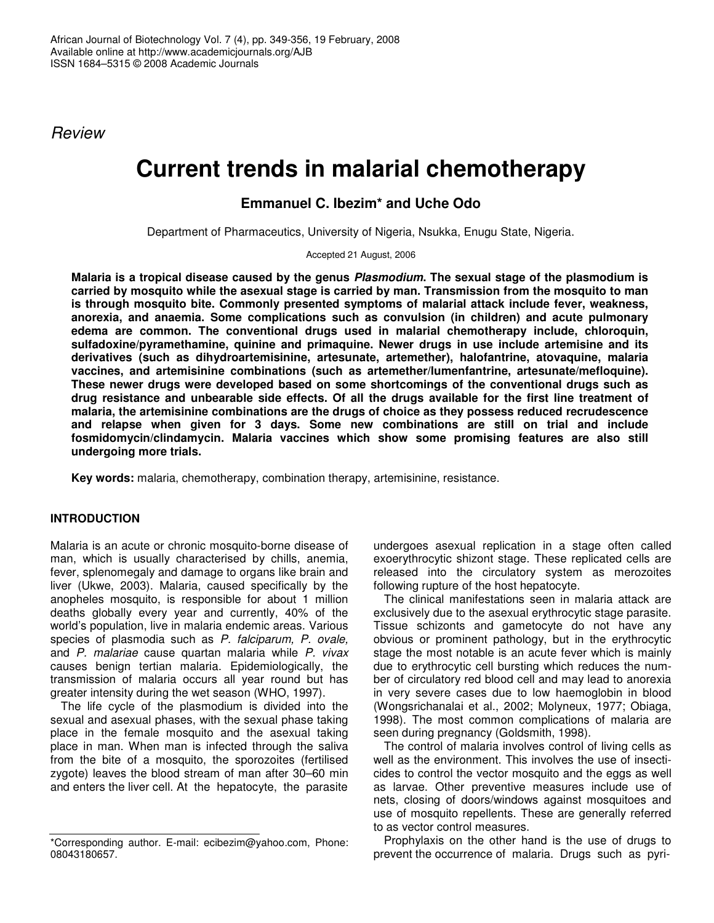*Review*

# **Current trends in malarial chemotherapy**

# **Emmanuel C. Ibezim\* and Uche Odo**

Department of Pharmaceutics, University of Nigeria, Nsukka, Enugu State, Nigeria.

Accepted 21 August, 2006

Malaria is a tropical disease caused by the genus Plasmodium. The sexual stage of the plasmodium is **carried by mosquito while the asexual stage is carried by man. Transmission from the mosquito to man is through mosquito bite. Commonly presented symptoms of malarial attack include fever, weakness, anorexia, and anaemia. Some complications such as convulsion (in children) and acute pulmonary edema are common. The conventional drugs used in malarial chemotherapy include, chloroquin, sulfadoxine/pyramethamine, quinine and primaquine. Newer drugs in use include artemisine and its derivatives (such as dihydroartemisinine, artesunate, artemether), halofantrine, atovaquine, malaria vaccines, and artemisinine combinations (such as artemether/lumenfantrine, artesunate/mefloquine). These newer drugs were developed based on some shortcomings of the conventional drugs such as drug resistance and unbearable side effects. Of all the drugs available for the first line treatment of malaria, the artemisinine combinations are the drugs of choice as they possess reduced recrudescence and relapse when given for 3 days. Some new combinations are still on trial and include fosmidomycin/clindamycin. Malaria vaccines which show some promising features are also still undergoing more trials.**

**Key words:** malaria, chemotherapy, combination therapy, artemisinine, resistance.

## **INTRODUCTION**

Malaria is an acute or chronic mosquito-borne disease of man, which is usually characterised by chills, anemia, fever, splenomegaly and damage to organs like brain and liver (Ukwe, 2003). Malaria, caused specifically by the anopheles mosquito, is responsible for about 1 million deaths globally every year and currently, 40% of the world's population, live in malaria endemic areas. Various species of plasmodia such as *P. falciparum, P. ovale,* and *P. malariae* cause quartan malaria while *P. vivax* causes benign tertian malaria. Epidemiologically, the transmission of malaria occurs all year round but has greater intensity during the wet season (WHO, 1997).

The life cycle of the plasmodium is divided into the sexual and asexual phases, with the sexual phase taking place in the female mosquito and the asexual taking place in man. When man is infected through the saliva from the bite of a mosquito, the sporozoites (fertilised zygote) leaves the blood stream of man after 30–60 min and enters the liver cell. At the hepatocyte, the parasite

undergoes asexual replication in a stage often called exoerythrocytic shizont stage. These replicated cells are released into the circulatory system as merozoites following rupture of the host hepatocyte.

The clinical manifestations seen in malaria attack are exclusively due to the asexual erythrocytic stage parasite. Tissue schizonts and gametocyte do not have any obvious or prominent pathology, but in the erythrocytic stage the most notable is an acute fever which is mainly due to erythrocytic cell bursting which reduces the number of circulatory red blood cell and may lead to anorexia in very severe cases due to low haemoglobin in blood (Wongsrichanalai et al., 2002; Molyneux, 1977; Obiaga, 1998). The most common complications of malaria are seen during pregnancy (Goldsmith, 1998).

The control of malaria involves control of living cells as well as the environment. This involves the use of insecticides to control the vector mosquito and the eggs as well as larvae. Other preventive measures include use of nets, closing of doors/windows against mosquitoes and use of mosquito repellents. These are generally referred to as vector control measures.

Prophylaxis on the other hand is the use of drugs to prevent the occurrence of malaria. Drugs such as pyri-

<sup>\*</sup>Corresponding author. E-mail: ecibezim@yahoo.com, Phone: 08043180657.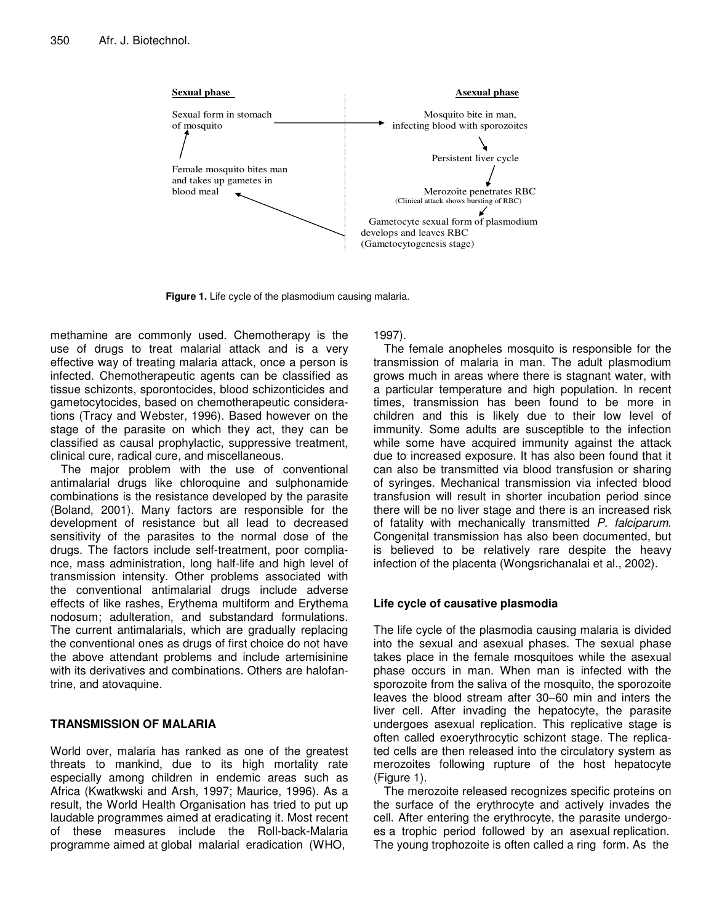

**Figure 1.** Life cycle of the plasmodium causing malaria.

methamine are commonly used. Chemotherapy is the use of drugs to treat malarial attack and is a very effective way of treating malaria attack, once a person is infected. Chemotherapeutic agents can be classified as tissue schizonts, sporontocides, blood schizonticides and gametocytocides, based on chemotherapeutic considerations (Tracy and Webster, 1996). Based however on the stage of the parasite on which they act, they can be classified as causal prophylactic, suppressive treatment, clinical cure, radical cure, and miscellaneous.

The major problem with the use of conventional antimalarial drugs like chloroquine and sulphonamide combinations is the resistance developed by the parasite (Boland, 2001). Many factors are responsible for the development of resistance but all lead to decreased sensitivity of the parasites to the normal dose of the drugs. The factors include self-treatment, poor compliance, mass administration, long half-life and high level of transmission intensity. Other problems associated with the conventional antimalarial drugs include adverse effects of like rashes, Erythema multiform and Erythema nodosum; adulteration, and substandard formulations. The current antimalarials, which are gradually replacing the conventional ones as drugs of first choice do not have the above attendant problems and include artemisinine with its derivatives and combinations. Others are halofantrine, and atovaquine.

# **TRANSMISSION OF MALARIA**

World over, malaria has ranked as one of the greatest threats to mankind, due to its high mortality rate especially among children in endemic areas such as Africa (Kwatkwski and Arsh, 1997; Maurice, 1996). As a result, the World Health Organisation has tried to put up laudable programmes aimed at eradicating it. Most recent of these measures include the Roll-back-Malaria programme aimed at global malarial eradication (WHO,

1997).

The female anopheles mosquito is responsible for the transmission of malaria in man. The adult plasmodium grows much in areas where there is stagnant water, with a particular temperature and high population. In recent times, transmission has been found to be more in children and this is likely due to their low level of immunity. Some adults are susceptible to the infection while some have acquired immunity against the attack due to increased exposure. It has also been found that it can also be transmitted via blood transfusion or sharing of syringes. Mechanical transmission via infected blood transfusion will result in shorter incubation period since there will be no liver stage and there is an increased risk of fatality with mechanically transmitted *P. falciparum*. Congenital transmission has also been documented, but is believed to be relatively rare despite the heavy infection of the placenta (Wongsrichanalai et al., 2002).

# **Life cycle of causative plasmodia**

The life cycle of the plasmodia causing malaria is divided into the sexual and asexual phases. The sexual phase takes place in the female mosquitoes while the asexual phase occurs in man. When man is infected with the sporozoite from the saliva of the mosquito, the sporozoite leaves the blood stream after 30–60 min and inters the liver cell. After invading the hepatocyte, the parasite undergoes asexual replication. This replicative stage is often called exoerythrocytic schizont stage. The replicated cells are then released into the circulatory system as merozoites following rupture of the host hepatocyte (Figure 1).

The merozoite released recognizes specific proteins on the surface of the erythrocyte and actively invades the cell. After entering the erythrocyte, the parasite undergoes a trophic period followed by an asexual replication. The young trophozoite is often called a ring form. As the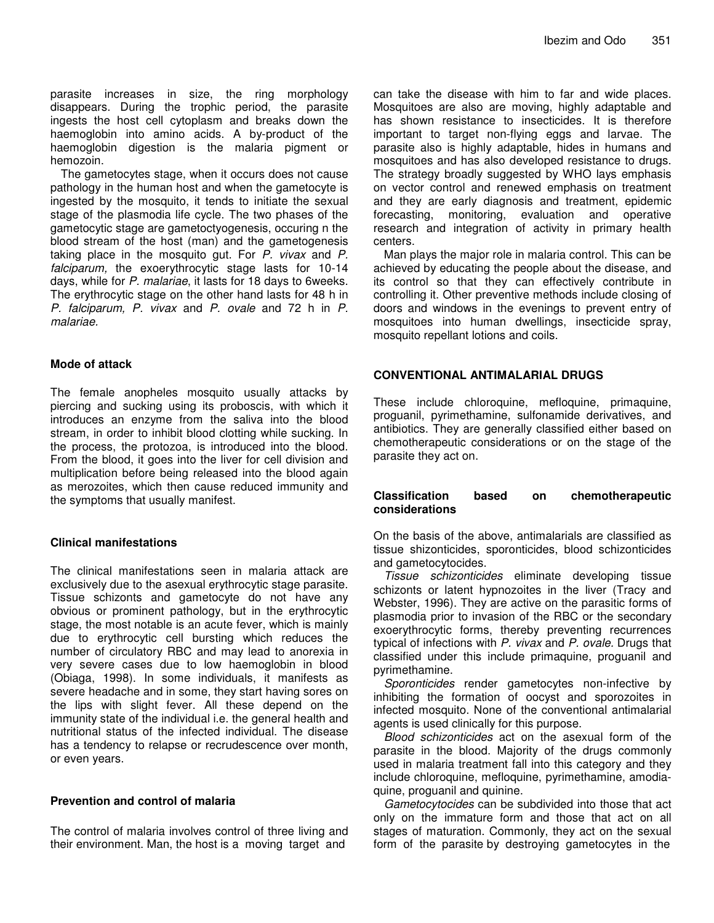parasite increases in size, the ring morphology disappears. During the trophic period, the parasite ingests the host cell cytoplasm and breaks down the haemoglobin into amino acids. A by-product of the haemoglobin digestion is the malaria pigment or hemozoin.

The gametocytes stage, when it occurs does not cause pathology in the human host and when the gametocyte is ingested by the mosquito, it tends to initiate the sexual stage of the plasmodia life cycle. The two phases of the gametocytic stage are gametoctyogenesis, occuring n the blood stream of the host (man) and the gametogenesis taking place in the mosquito gut. For *P. vivax* and *P. falciparum,* the exoerythrocytic stage lasts for 10-14 days, while for *P. malariae*, it lasts for 18 days to 6weeks. The erythrocytic stage on the other hand lasts for 48 h in *P. falciparum, P. vivax* and *P. ovale* and 72 h in *P. malariae.*

#### **Mode of attack**

The female anopheles mosquito usually attacks by piercing and sucking using its proboscis, with which it introduces an enzyme from the saliva into the blood stream, in order to inhibit blood clotting while sucking. In the process, the protozoa, is introduced into the blood. From the blood, it goes into the liver for cell division and multiplication before being released into the blood again as merozoites, which then cause reduced immunity and the symptoms that usually manifest.

#### **Clinical manifestations**

The clinical manifestations seen in malaria attack are exclusively due to the asexual erythrocytic stage parasite. Tissue schizonts and gametocyte do not have any obvious or prominent pathology, but in the erythrocytic stage, the most notable is an acute fever, which is mainly due to erythrocytic cell bursting which reduces the number of circulatory RBC and may lead to anorexia in very severe cases due to low haemoglobin in blood (Obiaga, 1998). In some individuals, it manifests as severe headache and in some, they start having sores on the lips with slight fever. All these depend on the immunity state of the individual i.e. the general health and nutritional status of the infected individual. The disease has a tendency to relapse or recrudescence over month, or even years.

#### **Prevention and control of malaria**

The control of malaria involves control of three living and their environment. Man, the host is a moving target and

can take the disease with him to far and wide places. Mosquitoes are also are moving, highly adaptable and has shown resistance to insecticides. It is therefore important to target non-flying eggs and larvae. The parasite also is highly adaptable, hides in humans and mosquitoes and has also developed resistance to drugs. The strategy broadly suggested by WHO lays emphasis on vector control and renewed emphasis on treatment and they are early diagnosis and treatment, epidemic forecasting, monitoring, evaluation and operative research and integration of activity in primary health centers.

Man plays the major role in malaria control. This can be achieved by educating the people about the disease, and its control so that they can effectively contribute in controlling it. Other preventive methods include closing of doors and windows in the evenings to prevent entry of mosquitoes into human dwellings, insecticide spray, mosquito repellant lotions and coils.

#### **CONVENTIONAL ANTIMALARIAL DRUGS**

These include chloroquine, mefloquine, primaquine, proguanil, pyrimethamine, sulfonamide derivatives, and antibiotics. They are generally classified either based on chemotherapeutic considerations or on the stage of the parasite they act on.

#### **Classification based on chemotherapeutic considerations**

On the basis of the above, antimalarials are classified as tissue shizonticides, sporonticides, blood schizonticides and gametocytocides.

*Tissue schizonticides* eliminate developing tissue schizonts or latent hypnozoites in the liver (Tracy and Webster, 1996). They are active on the parasitic forms of plasmodia prior to invasion of the RBC or the secondary exoerythrocytic forms, thereby preventing recurrences typical of infections with *P. vivax* and *P. ovale.* Drugs that classified under this include primaquine, proguanil and pyrimethamine.

*Sporonticides* render gametocytes non-infective by inhibiting the formation of oocyst and sporozoites in infected mosquito. None of the conventional antimalarial agents is used clinically for this purpose.

*Blood schizonticides* act on the asexual form of the parasite in the blood. Majority of the drugs commonly used in malaria treatment fall into this category and they include chloroquine, mefloquine, pyrimethamine, amodiaquine, proguanil and quinine.

*Gametocytocides* can be subdivided into those that act only on the immature form and those that act on all stages of maturation. Commonly, they act on the sexual form of the parasite by destroying gametocytes in the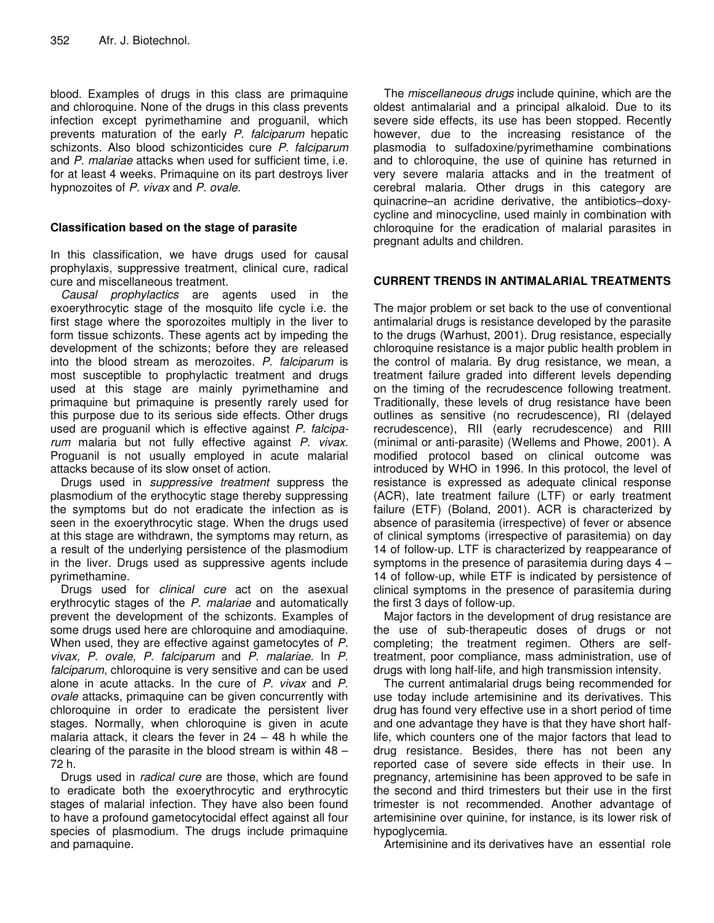blood. Examples of drugs in this class are primaquine and chloroquine. None of the drugs in this class prevents infection except pyrimethamine and proguanil, which prevents maturation of the early *P. falciparum* hepatic schizonts. Also blood schizonticides cure *P. falciparum* and *P. malariae* attacks when used for sufficient time, i.e. for at least 4 weeks. Primaquine on its part destroys liver hypnozoites of *P. vivax* and *P. ovale.*

#### **Classification based on the stage of parasite**

In this classification, we have drugs used for causal prophylaxis, suppressive treatment, clinical cure, radical cure and miscellaneous treatment.

*Causal prophylactics* are agents used in the exoerythrocytic stage of the mosquito life cycle i.e. the first stage where the sporozoites multiply in the liver to form tissue schizonts. These agents act by impeding the development of the schizonts; before they are released into the blood stream as merozoites. *P. falciparum* is most susceptible to prophylactic treatment and drugs used at this stage are mainly pyrimethamine and primaquine but primaquine is presently rarely used for this purpose due to its serious side effects. Other drugs used are proguanil which is effective against *P. falciparum* malaria but not fully effective against *P. vivax*. Proguanil is not usually employed in acute malarial attacks because of its slow onset of action.

Drugs used in *suppressive treatment* suppress the plasmodium of the erythocytic stage thereby suppressing the symptoms but do not eradicate the infection as is seen in the exoerythrocytic stage. When the drugs used at this stage are withdrawn, the symptoms may return, as a result of the underlying persistence of the plasmodium in the liver. Drugs used as suppressive agents include pyrimethamine.

Drugs used for *clinical cure* act on the asexual erythrocytic stages of the *P. malariae* and automatically prevent the development of the schizonts. Examples of some drugs used here are chloroquine and amodiaquine. When used, they are effective against gametocytes of *P. vivax, P. ovale, P. falciparum* and *P. malariae.* In *P. falciparum*, chloroquine is very sensitive and can be used alone in acute attacks. In the cure of *P. vivax* and *P. ovale* attacks, primaquine can be given concurrently with chloroquine in order to eradicate the persistent liver stages. Normally, when chloroquine is given in acute malaria attack, it clears the fever in  $24 - 48$  h while the clearing of the parasite in the blood stream is within 48 – 72 h.

Drugs used in *radical cure* are those, which are found to eradicate both the exoerythrocytic and erythrocytic stages of malarial infection. They have also been found to have a profound gametocytocidal effect against all four species of plasmodium. The drugs include primaquine and pamaquine.

The *miscellaneous drugs* include quinine, which are the oldest antimalarial and a principal alkaloid. Due to its severe side effects, its use has been stopped. Recently however, due to the increasing resistance of the plasmodia to sulfadoxine/pyrimethamine combinations and to chloroquine, the use of quinine has returned in very severe malaria attacks and in the treatment of cerebral malaria. Other drugs in this category are quinacrine–an acridine derivative, the antibiotics–doxycycline and minocycline, used mainly in combination with chloroquine for the eradication of malarial parasites in pregnant adults and children.

### **CURRENT TRENDS IN ANTIMALARIAL TREATMENTS**

The major problem or set back to the use of conventional antimalarial drugs is resistance developed by the parasite to the drugs (Warhust, 2001). Drug resistance, especially chloroquine resistance is a major public health problem in the control of malaria. By drug resistance, we mean, a treatment failure graded into different levels depending on the timing of the recrudescence following treatment. Traditionally, these levels of drug resistance have been outlines as sensitive (no recrudescence), RI (delayed recrudescence), RII (early recrudescence) and RIII (minimal or anti-parasite) (Wellems and Phowe, 2001). A modified protocol based on clinical outcome was introduced by WHO in 1996. In this protocol, the level of resistance is expressed as adequate clinical response (ACR), late treatment failure (LTF) or early treatment failure (ETF) (Boland, 2001). ACR is characterized by absence of parasitemia (irrespective) of fever or absence of clinical symptoms (irrespective of parasitemia) on day 14 of follow-up. LTF is characterized by reappearance of symptoms in the presence of parasitemia during days 4 – 14 of follow-up, while ETF is indicated by persistence of clinical symptoms in the presence of parasitemia during the first 3 days of follow-up.

Major factors in the development of drug resistance are the use of sub-therapeutic doses of drugs or not completing; the treatment regimen. Others are selftreatment, poor compliance, mass administration, use of drugs with long half-life, and high transmission intensity.

The current antimalarial drugs being recommended for use today include artemisinine and its derivatives. This drug has found very effective use in a short period of time and one advantage they have is that they have short halflife, which counters one of the major factors that lead to drug resistance. Besides, there has not been any reported case of severe side effects in their use. In pregnancy, artemisinine has been approved to be safe in the second and third trimesters but their use in the first trimester is not recommended. Another advantage of artemisinine over quinine, for instance, is its lower risk of hypoglycemia.

Artemisinine and its derivatives have an essential role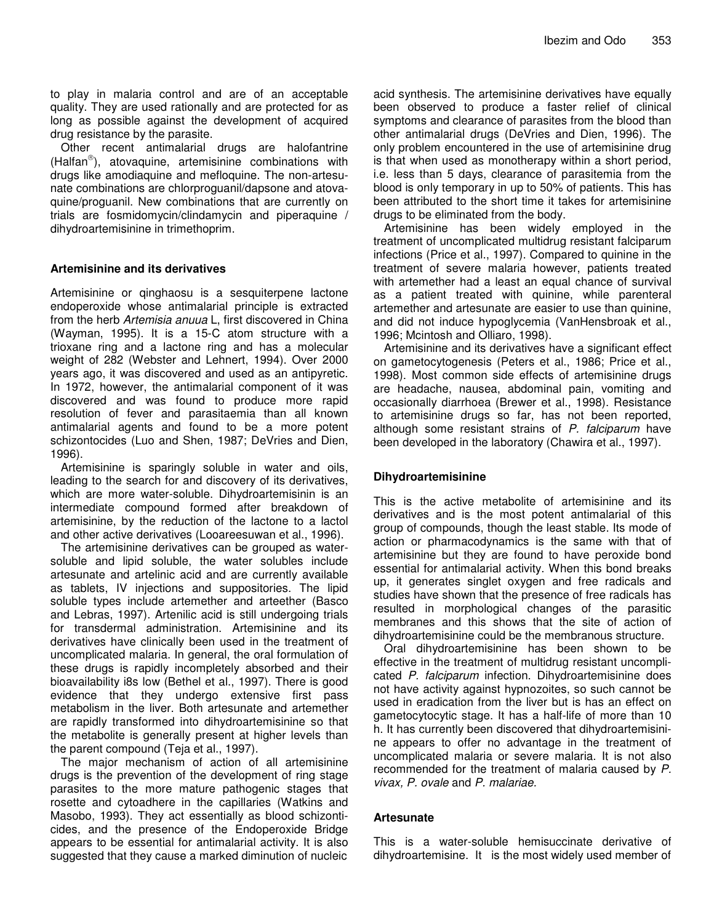to play in malaria control and are of an acceptable quality. They are used rationally and are protected for as long as possible against the development of acquired drug resistance by the parasite.

Other recent antimalarial drugs are halofantrine (Halfan ), atovaquine, artemisinine combinations with drugs like amodiaquine and mefloquine. The non-artesunate combinations are chlorproguanil/dapsone and atovaquine/proguanil. New combinations that are currently on trials are fosmidomycin/clindamycin and piperaquine / dihydroartemisinine in trimethoprim.

#### **Artemisinine and its derivatives**

Artemisinine or qinghaosu is a sesquiterpene lactone endoperoxide whose antimalarial principle is extracted from the herb *Artemisia anuua* L, first discovered in China (Wayman, 1995). It is a 15-C atom structure with a trioxane ring and a lactone ring and has a molecular weight of 282 (Webster and Lehnert, 1994). Over 2000 years ago, it was discovered and used as an antipyretic. In 1972, however, the antimalarial component of it was discovered and was found to produce more rapid resolution of fever and parasitaemia than all known antimalarial agents and found to be a more potent schizontocides (Luo and Shen, 1987; DeVries and Dien, 1996).

Artemisinine is sparingly soluble in water and oils, leading to the search for and discovery of its derivatives, which are more water-soluble. Dihydroartemisinin is an intermediate compound formed after breakdown of artemisinine, by the reduction of the lactone to a lactol and other active derivatives (Looareesuwan et al., 1996).

The artemisinine derivatives can be grouped as watersoluble and lipid soluble, the water solubles include artesunate and artelinic acid and are currently available as tablets, IV injections and suppositories. The lipid soluble types include artemether and arteether (Basco and Lebras, 1997). Artenilic acid is still undergoing trials for transdermal administration. Artemisinine and its derivatives have clinically been used in the treatment of uncomplicated malaria. In general, the oral formulation of these drugs is rapidly incompletely absorbed and their bioavailability i8s low (Bethel et al., 1997). There is good evidence that they undergo extensive first pass metabolism in the liver. Both artesunate and artemether are rapidly transformed into dihydroartemisinine so that the metabolite is generally present at higher levels than the parent compound (Teja et al., 1997).

The major mechanism of action of all artemisinine drugs is the prevention of the development of ring stage parasites to the more mature pathogenic stages that rosette and cytoadhere in the capillaries (Watkins and Masobo, 1993). They act essentially as blood schizonticides, and the presence of the Endoperoxide Bridge appears to be essential for antimalarial activity. It is also suggested that they cause a marked diminution of nucleic

acid synthesis. The artemisinine derivatives have equally been observed to produce a faster relief of clinical symptoms and clearance of parasites from the blood than other antimalarial drugs (DeVries and Dien, 1996). The only problem encountered in the use of artemisinine drug is that when used as monotherapy within a short period, i.e. less than 5 days, clearance of parasitemia from the blood is only temporary in up to 50% of patients. This has been attributed to the short time it takes for artemisinine drugs to be eliminated from the body.

Artemisinine has been widely employed in the treatment of uncomplicated multidrug resistant falciparum infections (Price et al., 1997). Compared to quinine in the treatment of severe malaria however, patients treated with artemether had a least an equal chance of survival as a patient treated with quinine, while parenteral artemether and artesunate are easier to use than quinine, and did not induce hypoglycemia (VanHensbroak et al., 1996; Mcintosh and Olliaro, 1998).

Artemisinine and its derivatives have a significant effect on gametocytogenesis (Peters et al., 1986; Price et al., 1998). Most common side effects of artemisinine drugs are headache, nausea, abdominal pain, vomiting and occasionally diarrhoea (Brewer et al., 1998). Resistance to artemisinine drugs so far, has not been reported, although some resistant strains of *P. falciparum* have been developed in the laboratory (Chawira et al., 1997).

#### **Dihydroartemisinine**

This is the active metabolite of artemisinine and its derivatives and is the most potent antimalarial of this group of compounds, though the least stable. Its mode of action or pharmacodynamics is the same with that of artemisinine but they are found to have peroxide bond essential for antimalarial activity. When this bond breaks up, it generates singlet oxygen and free radicals and studies have shown that the presence of free radicals has resulted in morphological changes of the parasitic membranes and this shows that the site of action of dihydroartemisinine could be the membranous structure.

Oral dihydroartemisinine has been shown to be effective in the treatment of multidrug resistant uncomplicated *P. falciparum* infection. Dihydroartemisinine does not have activity against hypnozoites, so such cannot be used in eradication from the liver but is has an effect on gametocytocytic stage. It has a half-life of more than 10 h. It has currently been discovered that dihydroartemisinine appears to offer no advantage in the treatment of uncomplicated malaria or severe malaria. It is not also recommended for the treatment of malaria caused by *P. vivax, P. ovale* and *P. malariae.*

#### **Artesunate**

This is a water-soluble hemisuccinate derivative of dihydroartemisine. It is the most widely used member of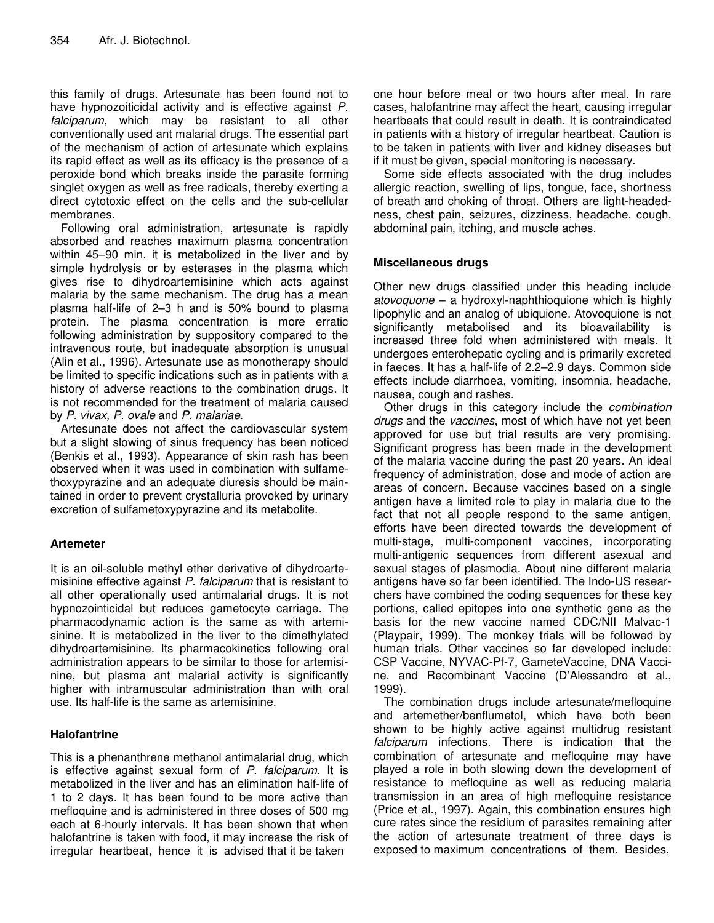this family of drugs. Artesunate has been found not to have hypnozoiticidal activity and is effective against *P. falciparum*, which may be resistant to all other conventionally used ant malarial drugs. The essential part of the mechanism of action of artesunate which explains its rapid effect as well as its efficacy is the presence of a peroxide bond which breaks inside the parasite forming singlet oxygen as well as free radicals, thereby exerting a direct cytotoxic effect on the cells and the sub-cellular membranes.

Following oral administration, artesunate is rapidly absorbed and reaches maximum plasma concentration within 45–90 min. it is metabolized in the liver and by simple hydrolysis or by esterases in the plasma which gives rise to dihydroartemisinine which acts against malaria by the same mechanism. The drug has a mean plasma half-life of 2–3 h and is 50% bound to plasma protein. The plasma concentration is more erratic following administration by suppository compared to the intravenous route, but inadequate absorption is unusual (Alin et al., 1996). Artesunate use as monotherapy should be limited to specific indications such as in patients with a history of adverse reactions to the combination drugs. It is not recommended for the treatment of malaria caused by *P. vivax, P. ovale* and *P. malariae.*

Artesunate does not affect the cardiovascular system but a slight slowing of sinus frequency has been noticed (Benkis et al., 1993). Appearance of skin rash has been observed when it was used in combination with sulfamethoxypyrazine and an adequate diuresis should be maintained in order to prevent crystalluria provoked by urinary excretion of sulfametoxypyrazine and its metabolite.

# **Artemeter**

It is an oil-soluble methyl ether derivative of dihydroartemisinine effective against *P. falciparum* that is resistant to all other operationally used antimalarial drugs. It is not hypnozointicidal but reduces gametocyte carriage. The pharmacodynamic action is the same as with artemisinine. It is metabolized in the liver to the dimethylated dihydroartemisinine. Its pharmacokinetics following oral administration appears to be similar to those for artemisinine, but plasma ant malarial activity is significantly higher with intramuscular administration than with oral use. Its half-life is the same as artemisinine.

# **Halofantrine**

This is a phenanthrene methanol antimalarial drug, which is effective against sexual form of *P. falciparum.* It is metabolized in the liver and has an elimination half-life of 1 to 2 days. It has been found to be more active than mefloquine and is administered in three doses of 500 mg each at 6-hourly intervals. It has been shown that when halofantrine is taken with food, it may increase the risk of irregular heartbeat, hence it is advised that it be taken

one hour before meal or two hours after meal. In rare cases, halofantrine may affect the heart, causing irregular heartbeats that could result in death. It is contraindicated in patients with a history of irregular heartbeat. Caution is to be taken in patients with liver and kidney diseases but if it must be given, special monitoring is necessary.

Some side effects associated with the drug includes allergic reaction, swelling of lips, tongue, face, shortness of breath and choking of throat. Others are light-headedness, chest pain, seizures, dizziness, headache, cough, abdominal pain, itching, and muscle aches.

### **Miscellaneous drugs**

Other new drugs classified under this heading include *atovoquone* – a hydroxyl-naphthioquione which is highly lipophylic and an analog of ubiquione. Atovoquione is not significantly metabolised and its bioavailability is increased three fold when administered with meals. It undergoes enterohepatic cycling and is primarily excreted in faeces. It has a half-life of 2.2–2.9 days. Common side effects include diarrhoea, vomiting, insomnia, headache, nausea, cough and rashes.

Other drugs in this category include the *combination drugs* and the *vaccines*, most of which have not yet been approved for use but trial results are very promising. Significant progress has been made in the development of the malaria vaccine during the past 20 years. An ideal frequency of administration, dose and mode of action are areas of concern. Because vaccines based on a single antigen have a limited role to play in malaria due to the fact that not all people respond to the same antigen, efforts have been directed towards the development of multi-stage, multi-component vaccines, incorporating multi-antigenic sequences from different asexual and sexual stages of plasmodia. About nine different malaria antigens have so far been identified. The Indo-US researchers have combined the coding sequences for these key portions, called epitopes into one synthetic gene as the basis for the new vaccine named CDC/NII Malvac-1 (Playpair, 1999). The monkey trials will be followed by human trials. Other vaccines so far developed include: CSP Vaccine, NYVAC-Pf-7, GameteVaccine, DNA Vaccine, and Recombinant Vaccine (D'Alessandro et al., 1999).

The combination drugs include artesunate/mefloquine and artemether/benflumetol, which have both been shown to be highly active against multidrug resistant *falciparum* infections. There is indication that the combination of artesunate and mefloquine may have played a role in both slowing down the development of resistance to mefloquine as well as reducing malaria transmission in an area of high mefloquine resistance (Price et al., 1997). Again, this combination ensures high cure rates since the residium of parasites remaining after the action of artesunate treatment of three days is exposed to maximum concentrations of them. Besides,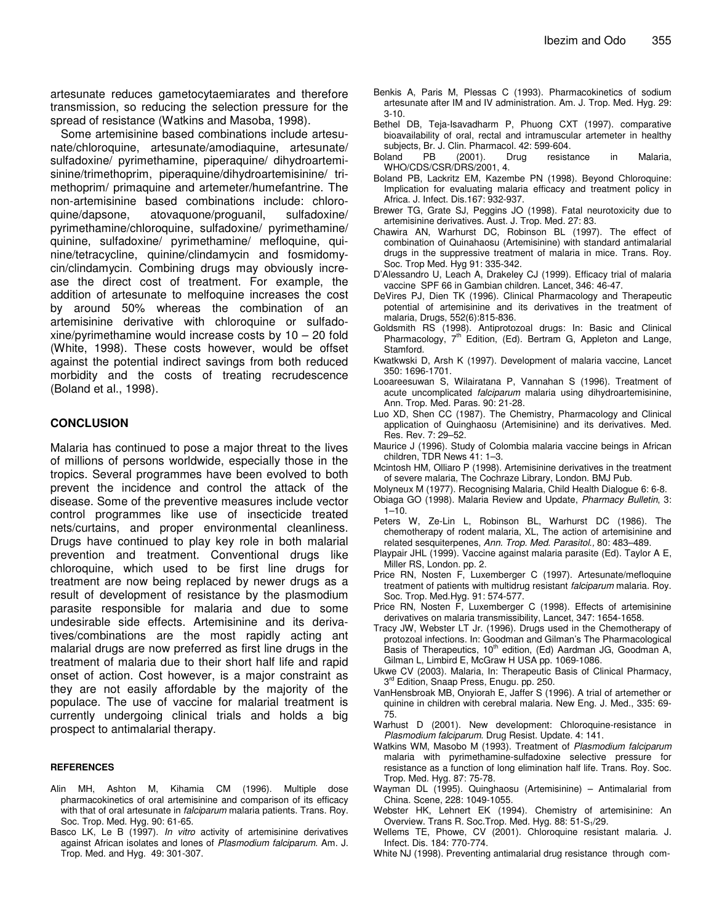artesunate reduces gametocytaemiarates and therefore transmission, so reducing the selection pressure for the spread of resistance (Watkins and Masoba, 1998).

Some artemisinine based combinations include artesunate/chloroquine, artesunate/amodiaquine, artesunate/ sulfadoxine/ pyrimethamine, piperaquine/ dihydroartemisinine/trimethoprim, piperaquine/dihydroartemisinine/ trimethoprim/ primaquine and artemeter/humefantrine. The non-artemisinine based combinations include: chloroquine/dapsone, atovaquone/proguanil, sulfadoxine/ pyrimethamine/chloroquine, sulfadoxine/ pyrimethamine/ quinine, sulfadoxine/ pyrimethamine/ mefloquine, quinine/tetracycline, quinine/clindamycin and fosmidomycin/clindamycin. Combining drugs may obviously increase the direct cost of treatment. For example, the addition of artesunate to melfoquine increases the cost by around 50% whereas the combination of an artemisinine derivative with chloroquine or sulfadoxine/pyrimethamine would increase costs by 10 – 20 fold (White, 1998). These costs however, would be offset against the potential indirect savings from both reduced morbidity and the costs of treating recrudescence (Boland et al., 1998).

#### **CONCLUSION**

Malaria has continued to pose a major threat to the lives of millions of persons worldwide, especially those in the tropics. Several programmes have been evolved to both prevent the incidence and control the attack of the disease. Some of the preventive measures include vector control programmes like use of insecticide treated nets/curtains, and proper environmental cleanliness. Drugs have continued to play key role in both malarial prevention and treatment. Conventional drugs like chloroquine, which used to be first line drugs for treatment are now being replaced by newer drugs as a result of development of resistance by the plasmodium parasite responsible for malaria and due to some undesirable side effects. Artemisinine and its derivatives/combinations are the most rapidly acting ant malarial drugs are now preferred as first line drugs in the treatment of malaria due to their short half life and rapid onset of action. Cost however, is a major constraint as they are not easily affordable by the majority of the populace. The use of vaccine for malarial treatment is currently undergoing clinical trials and holds a big prospect to antimalarial therapy.

#### **REFERENCES**

- Alin MH, Ashton M, Kihamia CM (1996). Multiple dose pharmacokinetics of oral artemisinine and comparison of its efficacy with that of oral artesunate in *falciparum* malaria patients. Trans. Roy. Soc. Trop. Med. Hyg. 90: 61-65.
- Basco LK, Le B (1997). *In vitro* activity of artemisinine derivatives against African isolates and lones of *Plasmodium falciparum.* Am. J. Trop. Med. and Hyg. 49: 301-307.
- Benkis A, Paris M, Plessas C (1993). Pharmacokinetics of sodium artesunate after IM and IV administration. Am. J. Trop. Med. Hyg. 29: 3-10.
- Bethel DB, Teja-Isavadharm P, Phuong CXT (1997). comparative bioavailability of oral, rectal and intramuscular artemeter in healthy subjects, Br. J. Clin. Pharmacol. 42: 599-604.<br>
Mand PB (2001). Drug resista
- Boland PB (2001). Drug resistance in Malaria, WHO/CDS/CSR/DRS/2001, 4.
- Boland PB, Lackritz EM, Kazembe PN (1998). Beyond Chloroquine: Implication for evaluating malaria efficacy and treatment policy in Africa. J. Infect. Dis.167: 932-937.
- Brewer TG, Grate SJ, Peggins JO (1998). Fatal neurotoxicity due to artemisinine derivatives. Aust. J. Trop. Med*.* 27: 83.
- Chawira AN, Warhurst DC, Robinson BL (1997). The effect of combination of Quinahaosu (Artemisinine) with standard antimalarial drugs in the suppressive treatment of malaria in mice. Trans. Roy. Soc. Trop Med. Hyg 91: 335-342.
- D'Alessandro U, Leach A, Drakeley CJ (1999). Efficacy trial of malaria vaccine SPF 66 in Gambian children. Lancet, 346: 46-47.
- DeVires PJ, Dien TK (1996). Clinical Pharmacology and Therapeutic potential of artemisinine and its derivatives in the treatment of malaria, Drugs, 552(6):815-836.
- Goldsmith RS (1998). Antiprotozoal drugs: In: Basic and Clinical Pharmacology,  $7<sup>th</sup>$  Edition, (Ed). Bertram G, Appleton and Lange, Stamford.
- Kwatkwski D, Arsh K (1997). Development of malaria vaccine, Lancet 350: 1696-1701.
- Looareesuwan S, Wilairatana P, Vannahan S (1996). Treatment of acute uncomplicated *falciparum* malaria using dihydroartemisinine, Ann. Trop. Med. Paras. 90: 21-28.
- Luo XD, Shen CC (1987). The Chemistry, Pharmacology and Clinical application of Quinghaosu (Artemisinine) and its derivatives. Med. Res. Rev. 7: 29–52.
- Maurice J (1996). Study of Colombia malaria vaccine beings in African children, TDR News 41: 1–3.
- Mcintosh HM, Olliaro P (1998). Artemisinine derivatives in the treatment of severe malaria, The Cochraze Library, London. BMJ Pub.
- Molyneux M (1977). Recognising Malaria, Child Health Dialogue 6: 6-8.
- Obiaga GO (1998). Malaria Review and Update, *Pharmacy Bulletin*, 3:  $1 - 10$ .
- Peters W, Ze-Lin L, Robinson BL, Warhurst DC (1986). The chemotherapy of rodent malaria, XL, The action of artemisinine and related sesquiterpenes, *Ann. Trop. Med. Parasitol.,* 80: 483–489.
- Playpair JHL (1999). Vaccine against malaria parasite (Ed). Taylor A E, Miller RS, London. pp. 2.
- Price RN, Nosten F, Luxemberger C (1997). Artesunate/mefloquine treatment of patients with multidrug resistant *falciparum* malaria. Roy. Soc. Trop. Med.Hyg. 91: 574-577.
- Price RN, Nosten F, Luxemberger C (1998). Effects of artemisinine derivatives on malaria transmissibility, Lancet, 347: 1654-1658.
- Tracy JW, Webster LT Jr. (1996). Drugs used in the Chemotherapy of protozoal infections. In: Goodman and Gilman's The Pharmacological Basis of Therapeutics, 10<sup>th</sup> edition, (Ed) Aardman JG, Goodman A, Gilman L, Limbird E, McGraw H USA pp. 1069-1086.
- Ukwe CV (2003). Malaria, In: Therapeutic Basis of Clinical Pharmacy, 3<sup>rd</sup> Edition, Snaap Press, Enugu. pp. 250.
- VanHensbroak MB, Onyiorah E, Jaffer S (1996). A trial of artemether or quinine in children with cerebral malaria. New Eng. J. Med., 335: 69- 75.
- Warhust D (2001). New development: Chloroquine-resistance in *Plasmodium falciparum*. Drug Resist. Update. 4: 141.
- Watkins WM, Masobo M (1993). Treatment of *Plasmodium falciparum* malaria with pyrimethamine-sulfadoxine selective pressure for resistance as a function of long elimination half life. Trans. Roy. Soc. Trop. Med. Hyg. 87: 75-78.
- Wayman DL (1995). Quinghaosu (Artemisinine) Antimalarial from China. Scene, 228: 1049-1055.
- Webster HK, Lehnert EK (1994). Chemistry of artemisinine: An Overview. Trans R. Soc.Trop. Med. Hyg. 88: 51-S<sub>1</sub>/29.
- Wellems TE, Phowe, CV (2001). Chloroquine resistant malaria. J. Infect. Dis. 184: 770-774.
- White NJ (1998). Preventing antimalarial drug resistance through com-